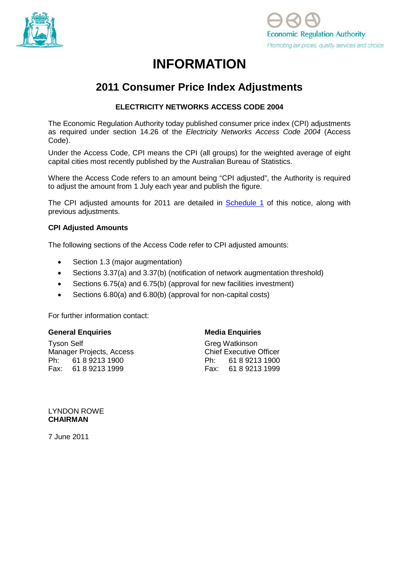



# **INFORMATION**

## **2011 Consumer Price Index Adjustments**

## **ELECTRICITY NETWORKS ACCESS CODE 2004**

The Economic Regulation Authority today published consumer price index (CPI) adjustments as required under section 14.26 of the *Electricity Networks Access Code 2004* (Access Code).

Under the Access Code, CPI means the CPI (all groups) for the weighted average of eight capital cities most recently published by the Australian Bureau of Statistics.

Where the Access Code refers to an amount being "CPI adjusted", the Authority is required to adjust the amount from 1 July each year and publish the figure.

The CPI adjusted amounts for 2011 are detailed in [Schedule 1](#page-1-0) of this notice, along with previous adjustments.

#### **CPI Adjusted Amounts**

The following sections of the Access Code refer to CPI adjusted amounts:

- Section 1.3 (major augmentation)
- Sections 3.37(a) and 3.37(b) (notification of network augmentation threshold)
- Sections 6.75(a) and 6.75(b) (approval for new facilities investment)
- Sections 6.80(a) and 6.80(b) (approval for non-capital costs)

For further information contact:

#### **General Enquiries**

Tyson Self Manager Projects, Access Ph: 61 8 9213 1900 Fax: 61 8 9213 1999

#### **Media Enquiries**

Greg Watkinson Chief Executive Officer Ph: 61 8 9213 1900 Fax: 61 8 9213 1999

#### LYNDON ROWE **CHAIRMAN**

7 June 2011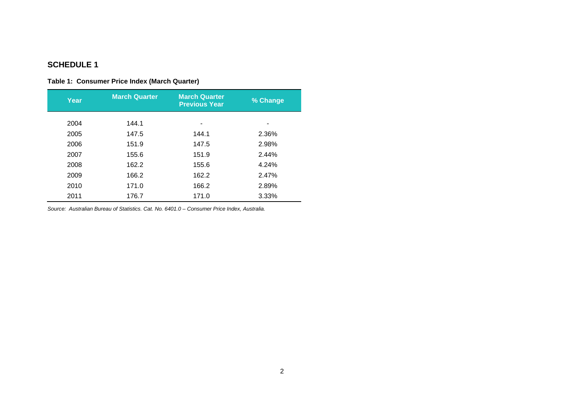## **SCHEDULE 1**

## **Table 1: Consumer Price Index (March Quarter)**

| Year | <b>March Quarter</b> | <b>March Quarter</b><br><b>Previous Year</b> | % Change |
|------|----------------------|----------------------------------------------|----------|
| 2004 | 144.1                |                                              |          |
|      |                      |                                              |          |
| 2005 | 147.5                | 144.1                                        | 2.36%    |
| 2006 | 151.9                | 147.5                                        | 2.98%    |
| 2007 | 155.6                | 151.9                                        | 2.44%    |
| 2008 | 162.2                | 155.6                                        | 4.24%    |
| 2009 | 166.2                | 162.2                                        | 2.47%    |
| 2010 | 171.0                | 166.2                                        | 2.89%    |
| 2011 | 176.7                | 171.0                                        | 3.33%    |

<span id="page-1-0"></span>*Source: Australian Bureau of Statistics. Cat. No. 6401.0 – Consumer Price Index, Australia.*